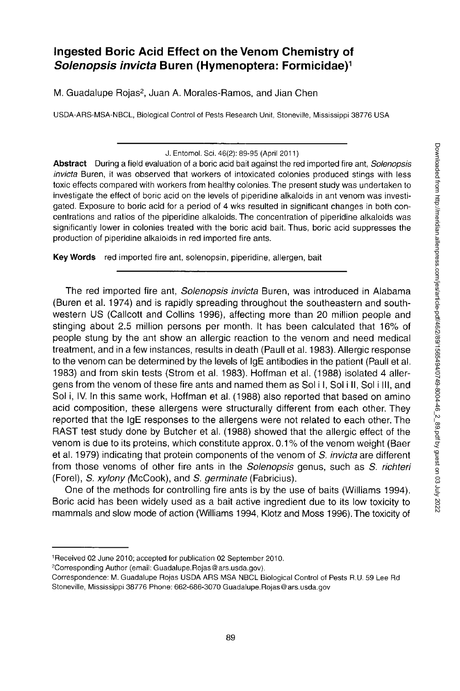# **Ingested Boric Acid Effect on the Venom Chemistry of**  *Solenopsis invicta* **Buren (Hymenoptera: Formicidae)<sup>1</sup>**

M. Guadalupe Rojas<sup>2</sup>, Juan A. Morales-Ramos, and Jian Chen

USDA-ARS-MSA-NBCL, Biological Control of Pests Research Unit, Stoneville, Mississippi 38776 USA

**Abstract** During a field evaluation of a boric acid bait against the red imported fire ant, *Solenopsis invicta* Buren, it was observed that workers of intoxicated colonies produced stings with less toxic effects compared with workers from healthy colonies. The present study was undertaken to investigate the effect of boric acid on the levels of piperidine alkaloids in ant venom was investigated. Exposure to boric acid for a period of 4 wks resulted in significant changes in both concentrations and ratios of the piperidine alkaloids. The concentration of piperidine alkaloids was significantly lower in colonies treated with the boric acid bait. Thus, boric acid suppresses the production of piperidine alkaloids in red imported fire ants.

**Keywords** red imported fire ant, solenopsin, piperidine, allergen, bait

The red imported fire ant, *Solenopsis invicta* Buren, was introduced in Alabama (Buren et al. 1974) and is rapidly spreading throughout the southeastern and southwestern US (Callcott and Collins 1996), affecting more than 20 million people and stinging about 2.5 million persons per month. It has been calculated that 16% of people stung by the ant show an allergic reaction to the venom and need medical treatment, and in a few instances, results in death (Paull et al. 1983). Allergic response to the venom can be determined by the levels of IgE antibodies in the patient (Paull et al. 1983) and from skin tests (Strom et al. 1983). Hoffman et al. (1988) isolated 4 allergens from the venom of these fire ants and named them as Sol i I, Sol i II, Sol i III, and Sol i, IV. In this same work, Hoffman et al. (1988) also reported that based on amino acid composition, these allergens were structurally different from each other. They reported that the IgE responses to the allergens were not related to each other. The RAST test study done by Butcher et al. (1988) showed that the allergic effect of the venom is due to its proteins, which constitute approx. 0.1% of the venom weight (Baer et al. 1979) indicating that protein components of the venom of S. *invicta* are different from those venoms of other fire ants in the *Solenopsis* genus, such as *S. richteri*  (Forel), S. *xylony* (McCook), and S. *germinate* (Fabricius).

One of the methods for controlling fire ants is by the use of baits (Williams 1994). Boric acid has been widely used as a bait active ingredient due to its low toxicity to mammals and slow mode of action (Williams 1994, Klotz and Moss 1996). The toxicity of

J. Entomol. Sci. 46(2): 89-95 (April 2011)

<sup>1</sup> Received 02 June 2010; accepted for publication 02 September 2010.

Corresponding Author (email: [Guadalupe.Rojas@ars.usda.gov\)](mailto:Guadalupe.Rojas@ars.usda.gov).

Correspondence: M. Guadalupe Rojas USDA ARS MSA NBCL Biological Control of Pests R.U. 59 Lee Rd Stoneville, Mississippi 38776 Phone: 662-686-3070 [Guadalupe.Rojas@ars.usda.gov](mailto:Guadalupe.Rojas@ars.usda.gov)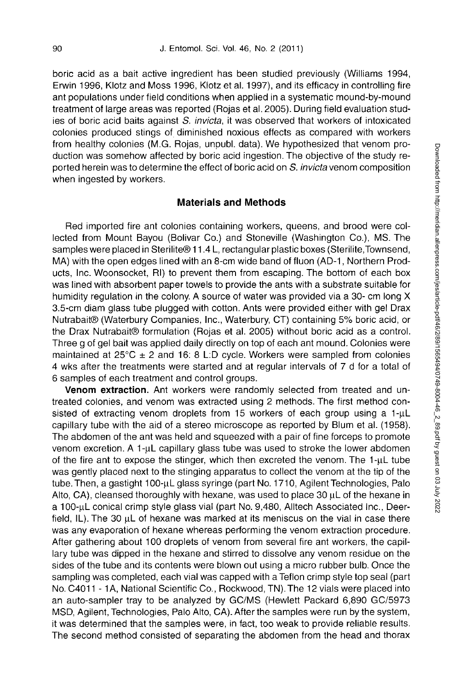boric acid as a bait active ingredient has been studied previously (Williams 1994, Erwin 1996, Klotz and Moss 1996, Klotz et al. 1997), and its efficacy in controlling fire ant populations under field conditions when applied in a systematic mound-by-mound treatment of large areas was reported (Rojas et al. 2005). During field evaluation studies of boric acid baits against *S. invicta,* it was observed that workers of intoxicated colonies produced stings of diminished noxious effects as compared with workers from healthy colonies (M.G. Rojas, unpubl. data). We hypothesized that venom production was somehow affected by boric acid ingestion. The objective of the study reported herein was to determine the effect of boric acid on S. invicta venom composition when ingested by workers.

## **Materials and Methods**

Red imported fire ant colonies containing workers, queens, and brood were collected from Mount Bayou (Bolivar Co.) and Stoneville (Washington Co.), MS. The samples were placed in Sterilite® 11.4 L, rectangular plastic boxes (Sterilite,Townsend, MA) with the open edges lined with an 8-cm wide band of fluon (AD-1, Northern Products, Inc. Woonsocket, Rl) to prevent them from escaping. The bottom of each box was lined with absorbent paper towels to provide the ants with a substrate suitable for humidity regulation in the colony. A source of water was provided via a 30- cm long X 3.5-cm diam glass tube plugged with cotton. Ants were provided either with gel Drax Nutrabait® (Waterbury Companies, Inc., Waterbury, CT) containing 5% boric acid, or the Drax Nutrabait® formulation (Rojas et al. 2005) without boric acid as a control. Three g of gel bait was applied daily directly on top of each ant mound. Colonies were maintained at  $25^{\circ}$ C  $\pm$  2 and 16: 8 L:D cycle. Workers were sampled from colonies 4 wks after the treatments were started and at regular intervals of 7 d for a total of 6 samples of each treatment and control groups.

**Venom extraction.** Ant workers were randomly selected from treated and untreated colonies, and venom was extracted using 2 methods. The first method consisted of extracting venom droplets from 15 workers of each group using a 1- $\mu$ L capillary tube with the aid of a stereo microscope as reported by Blum et al. (1958). The abdomen of the ant was held and squeezed with a pair of fine forceps to promote venom excretion. A  $1-\mu L$  capillary glass tube was used to stroke the lower abdomen of the fire ant to expose the stinger, which then excreted the venom. The 1-µL tube was gently placed next to the stinging apparatus to collect the venom at the tip of the tube. Then, a gastight  $100$ -µL glass syringe (part No. 1710, Agilent Technologies, Palo Alto,  $CA$ ), cleansed thoroughly with hexane, was used to place 30  $\mu$ L of the hexane in a 100-**JI**L conical crimp style glass vial (part No. 9,480, Alltech Associated Inc., Deerfield, IL). The 30  $\mu$ L of hexane was marked at its meniscus on the vial in case there was any evaporation of hexane whereas performing the venom extraction procedure. After gathering about 100 droplets of venom from several fire ant workers, the capillary tube was dipped in the hexane and stirred to dissolve any venom residue on the sides of the tube and its contents were blown out using a micro rubber bulb. Once the sampling was completed, each vial was capped with a Teflon crimp style top seal (part No. C4011 - 1A, National Scientific Co., Rockwood, TN). The 12 vials were placed into an auto-sampler tray to be analyzed by GC/MS (Hewlett Packard 6,890 GC/5973 MSD, Agilent, Technologies, Palo Alto, CA). After the samples were run by the system, it was determined that the samples were, in fact, too weak to provide reliable results. The second method consisted of separating the abdomen from the head and thorax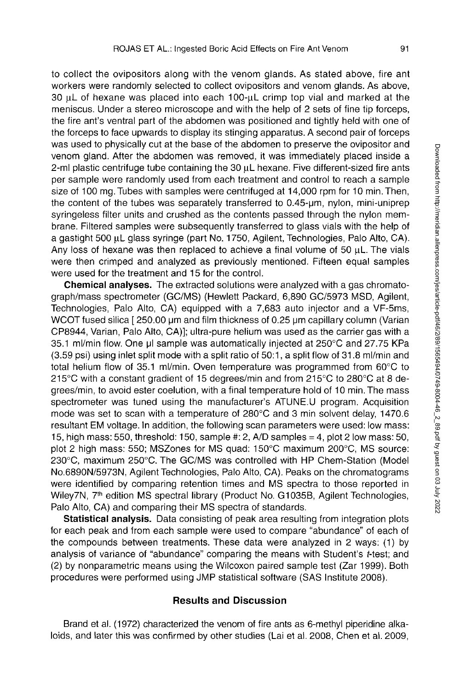to collect the ovipositors along with the venom glands. As stated above, fire ant workers were randomly selected to collect ovipositors and venom glands. As above,  $30 \mu$ L of hexane was placed into each 100- $\mu$ L crimp top vial and marked at the meniscus. Under a stereo microscope and with the help of 2 sets of fine tip forceps, the fire ant's ventral part of the abdomen was positioned and tightly held with one of the forceps to face upwards to display its stinging apparatus. A second pair of forceps was used to physically cut at the base of the abdomen to preserve the ovipositor and venom gland. After the abdomen was removed, it was immediately placed inside a 2-ml plastic centrifuge tube containing the 30  $\mu$ L hexane. Five different-sized fire ants per sample were randomly used from each treatment and control to reach a sample size of 100 mg. Tubes with samples were centrifuged at 14,000 rpm for 10 min.Then, the content of the tubes was separately transferred to 0.45-µm, nylon, mini-uniprep syringeless filter units and crushed as the contents passed through the nylon membrane. Filtered samples were subsequently transferred to glass vials with the help of a gastight 500 µL glass syringe (part No. 1750, Agilent, Technologies, Palo Alto, CA). Any loss of hexane was then replaced to achieve a final volume of 50  $\mu$ L. The vials were then crimped and analyzed as previously mentioned. Fifteen equal samples were used for the treatment and 15 for the control.

**Chemical analyses.** The extracted solutions were analyzed with a gas chromatograph/mass spectrometer (GC/MS) (Hewlett Packard, 6,890 GC/5973 MSD, Agilent, Technologies, Palo Alto, CA) equipped with a 7,683 auto injector and a VF-5ms, WCOT fused silica [250.00 µm and film thickness of 0.25 µm capillary column (Varian CP8944, Varian, Palo Alto, CA)]; ultra-pure helium was used as the carrier gas with a 35.1 ml/min flow. One pi sample was automatically injected at 250°C and 27.75 KPa (3.59 psi) using inlet split mode with a split ratio of 50:1, a split flow of 31.8 ml/min and total helium flow of 35.1 ml/min. Oven temperature was programmed from 60°C to 215°C with a constant gradient of 15 degrees/min and from 215°C to 280°C at 8 degrees/min, to avoid ester coelution, with a final temperature hold of 10 min.The mass spectrometer was tuned using the manufacturer's ATUNE.U program. Acquisition mode was set to scan with a temperature of 280°C and 3 min solvent delay, 1470.6 resultant EM voltage. In addition, the following scan parameters were used: low mass: 15, high mass: 550, threshold: 150, sample #: 2, A/D samples = 4, plot 2 low mass: 50, plot 2 high mass: 550; MSZones for MS quad: 150°C maximum 200°C, MS source: 230°C, maximum 250°C. The GC/MS was controlled with HP Chem-Station (Model No.6890N/5973N, Agilent Technologies, Palo Alto, CA). Peaks on the chromatograms were identified by comparing retention times and MS spectra to those reported in Wiley7N, 7<sup>th</sup> edition MS spectral library (Product No. G1035B, Agilent Technologies, Palo Alto, CA) and comparing their MS spectra of standards.

**Statistical analysis.** Data consisting of peak area resulting from integration plots for each peak and from each sample were used to compare "abundance" of each of the compounds between treatments. These data were analyzed in 2 ways: (1) by analysis of variance of "abundance" comparing the means with Student's t-test; and (2) by nonparametric means using the Wilcoxon paired sample test (Zar 1999). Both procedures were performed using JMP statistical software (SAS Institute 2008).

## **Results and Discussion**

Brand et al. (1972) characterized the venom of fire ants as 6-methyl piperidine alkaloids, and later this was confirmed by other studies (Lai et al. 2008, Chen et al. 2009,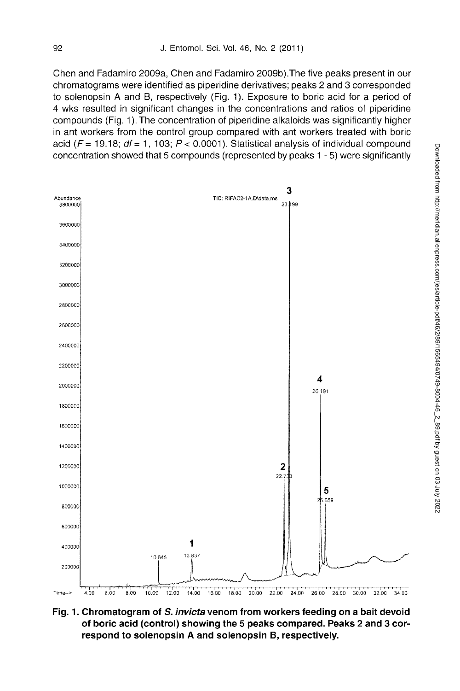Chen and Fadamiro 2009a, Chen and Fadamiro 2009b).The five peaks present in our chromatograms were identified as piperidine derivatives; peaks 2 and 3 corresponded to solenopsin A and B, respectively (Fig. 1). Exposure to boric acid for a period of 4 wks resulted in significant changes in the concentrations and ratios of piperidine compounds (Fig. 1).The concentration of piperidine alkaloids was significantly higher in ant workers from the control group compared with ant workers treated with boric acid *(F=* 19.18; *df=* 1, 103; *P <* 0.0001). Statistical analysis of individual compound concentration showed that 5 compounds (represented by peaks 1 - 5) were significantly



**Fig. 1. Chromatogram of S.** *invicta* **venom from workers feeding on a bait devoid of boric acid (control) showing the 5 peaks compared. Peaks 2 and 3 correspond to solenopsin A and solenopsin B, respectively.**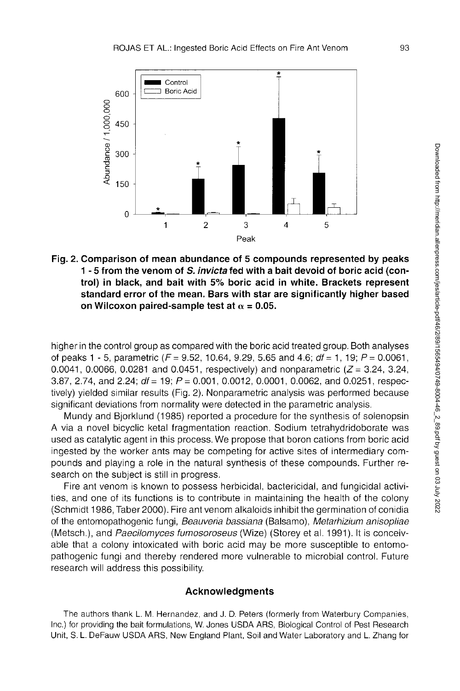

**Fig. 2. Comparison of mean abundance of 5 compounds represented by peaks 1 - 5 from the venom of S.** *invicta* **fed with a bait devoid of boric acid (control) in black, and bait with 5% boric acid in white. Brackets represent standard error of the mean. Bars with star are significantly higher based**  on Wilcoxon paired-sample test at  $\alpha$  = 0.05.

higher in the control group as compared with the boric acid treated group. Both analyses of peaks 1 - 5, parametric (F= 9.52, 10.64, 9.29, 5.65 and 4.6; *df=* 1,19; *P=* 0.0061, 0.0041, 0.0066, 0.0281 and 0.0451, respectively) and nonparametric  $(Z = 3.24, 3.24,$ 3.87, 2.74, and 2.24; *df=* 19; *P=* 0.001, 0.0012, 0.0001, 0.0062, and 0.0251, respectively) yielded similar results (Fig. 2). Nonparametric analysis was performed because significant deviations from normality were detected in the parametric analysis.

Mundy and Bjorklund (1985) reported a procedure for the synthesis of solenopsin A via a novel bicyclic ketal fragmentation reaction. Sodium tetrahydridoborate was used as catalytic agent in this process. We propose that boron cations from boric acid ingested by the worker ants may be competing for active sites of intermediary compounds and playing a role in the natural synthesis of these compounds. Further research on the subject is still in progress.

Fire ant venom is known to possess herbicidal, bactericidal, and fungicidal activities, and one of its functions is to contribute in maintaining the health of the colony (Schmidt 1986, Taber 2000). Fire ant venom alkaloids inhibit the germination of conidia of the entomopathogenic fungi, *Beauveria bassiana* (Balsamo), *Metarhizium anisopliae*  (Metsch.), and *Paecilomyces fumosoroseus* (Wize) (Storey et al. 1991). It is conceivable that a colony intoxicated with boric acid may be more susceptible to entomopathogenic fungi and thereby rendered more vulnerable to microbial control. Future research will address this possibility.

### **Acknowledgment s**

The authors thank L. M. Hernandez, and J. D. Peters (formerly from Waterbury Companies, Inc.) for providing the bait formulations, W. Jones USDA ARS, Biological Control of Pest Research Unit, S. L. DeFauw USDA ARS, New England Plant, Soil and Water Laboratory and L. Zhang for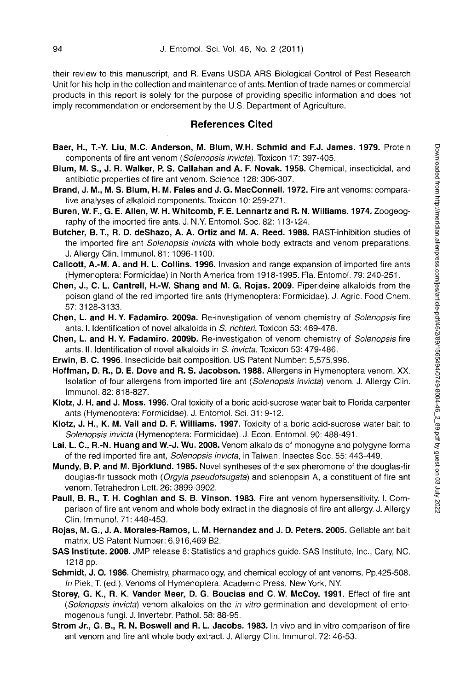their review to this manuscript, and R. Evans USDA ARS Biological Control of Pest Research Unit for his help in the collection and maintenance of ants. Mention of trade names or commercial products in this report is solely for the purpose of providing specific information and does not imply recommendation or endorsement by the U.S. Department of Agriculture.

### **References Cited**

- **Baer, H., T.-Y. Liu, M.C. Anderson, M. Blum, W.H. Schmid and F.J. James. 1979.** Protein components of fire ant venom *(Solenopsis invicta).* Toxicon 17: 397-405.
- **Blum, M. S., J. R. Walker, P. S. Callahan and A. F. Novak. 1958.** Chemical, insecticidal, and antibiotic properties of fire ant venom. Science 128: 306-307.
- **Brand, J. M., M. S. Blum, H. M. Fales and J. G. MacConnell. 1972.** Fire ant venoms: comparative analyses of alkaloid components. Toxicon 10: 259-271.
- **Buren, W. F., G. E. Allen, W. H. Whitcomb, F. E. Lennartz and R. N. Williams. 1974.** Zoogeography of the imported fire ants. J. N.Y. Entomol. Soc. 82:113-124.
- **Butcher, B. T., R. D. deShazo, A. A. Ortiz and M. A. Reed. 1988.** RAST-inhibition studies of the imported fire ant *Solenopsis invicta* with whole body extracts and venom preparations. J. Allergy Clin. Immunol. 81:1096-1100.
- **Callcott, A.-M. A. and H. L. Collins. 1996.** Invasion and range expansion of imported fire ants (Hymenoptera: Formicidae) in North America from 1918-1995. Fla. Entomol. 79: 240-251.
- **Chen, J., C. L. Cantrell, H.-W. Shang and M. G. Rojas. 2009.** Piperideine alkaloids from the poison gland of the red imported fire ants (Hymenoptera: Formicidae). J. Agric. Food Chem. 57:3128-3133.
- **Chen, L. and H. Y. Fadamiro. 2009a.** Re-investigation of venom chemistry of *Solenopsis* fire ants. I. Identification of novel alkaloids in S. *richteri.* Toxicon 53: 469-478.
- **Chen, L. and H. Y. Fadamiro. 2009b.** Re-investigation of venom chemistry of *Solenopsis* fire ants. II. Identification of novel alkaloids in S. *invicta.* Toxicon 53: 479-486.
- **Erwin, B. C. 1996.** Insecticide bait composition. US Patent Number: 5,575,996.
- **Hoffman, D. R., D. E. Dove and R. S. Jacobson. 1988.** Allergens in Hymenoptera venom. XX. Isolation of four allergens from imported fire ant (*Solenopsis invicta)* venom. J. Allergy Clin. Immunol. 82: 818-827.
- **Klotz, J. H. and J. Moss. 1996.** Oral toxicity of a boric acid-sucrose water bait to Florida carpenter ants (Hymenoptera: Formicidae). J. Entomol. Sci. 31: 9-12.
- **Klotz, J. H., K. M. Vail and D. F. Williams. 1997.** Toxicity of a boric acid-sucrose water bait to *Solenopsis invicta* (Hymenoptera: Formicidae). J. Econ. Entomol. 90: 488-491.
- **Lai, L. C., R.-N. Huang and W.-J. Wu. 2008.** Venom alkaloids of monogyne and polygyne forms of the red imported fire ant, *Solenopsis invicta,* in Taiwan. Insectes Soc. 55: 443-449.
- **Mundy, B. P. and M. Bjorklund. 1985.** Novel syntheses of the sex pheromone of the douglas-fir douglas-fir tussock moth *(Orgyia pseudotsugata)* and solenopsin A, a constituent of fire ant venom. Tetrahedron Lett. 26: 3899-3902.
- **Paull, B. R., T. H. Coghlan and S. B. Vinson. 1983.** Fire ant venom hypersensitivity. I. Comparison of fire ant venom and whole body extract in the diagnosis of fire ant allergy. J. Allergy Clin. Immunol. 71: 448-453.
- **Rojas, M. G., J. A. Morales-Ramos, L. M. Hernandez and J. D. Peters. 2005.** Gellable ant bait matrix. US Patent Number: 6,916,469 B2.
- **SAS Institute. 2008.** JMP release 8: Statistics and graphics guide. SAS Institute, Inc., Cary, NC. 1218 pp.
- **Schmidt, J. 0.1986.** Chemistry, pharmacology, and chemical ecology of ant venoms, Pp.425-508. *In* Piek, T. (ed.), Venoms of Hymenoptera. Academic Press, New York, NY.
- **Storey, G. K., R. K. Vander Meer, D. G. Boucias and C. W. McCoy. 1991.** Effect of fire ant *(Solenopsis invicta)* venom alkaloids on the *in vitro* germination and development of entomogenous fungi. J. Invertebr. Pathol. 58: 88-95.
- **Strom Jr., G. B., R. N. Boswell and R. L. Jacobs. 1983.** In vivo and in vitro comparison of fire ant venom and fire ant whole body extract. J. Allergy Clin. Immunol. 72: 46-53.